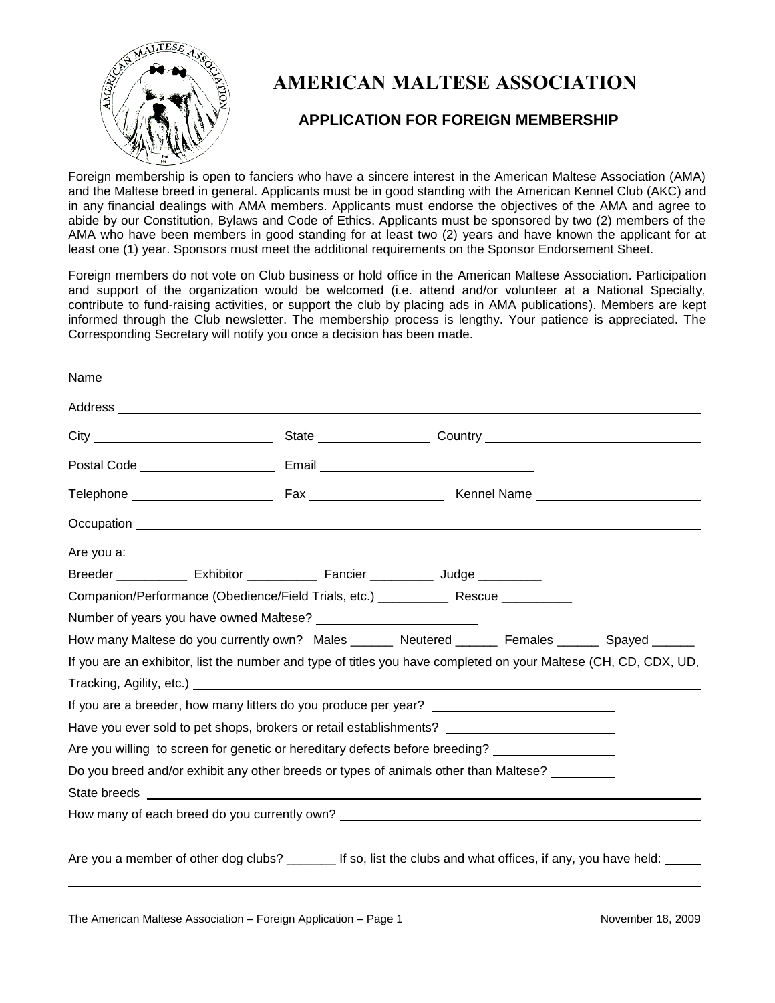

Name

# **AMERICAN MALTESE ASSOCIATION**

## **APPLICATION FOR FOREIGN MEMBERSHIP**

Foreign membership is open to fanciers who have a sincere interest in the American Maltese Association (AMA) and the Maltese breed in general. Applicants must be in good standing with the American Kennel Club (AKC) and in any financial dealings with AMA members. Applicants must endorse the objectives of the AMA and agree to abide by our Constitution, Bylaws and Code of Ethics. Applicants must be sponsored by two (2) members of the AMA who have been members in good standing for at least two (2) years and have known the applicant for at least one (1) year. Sponsors must meet the additional requirements on the Sponsor Endorsement Sheet.

Foreign members do not vote on Club business or hold office in the American Maltese Association. Participation and support of the organization would be welcomed (i.e. attend and/or volunteer at a National Specialty, contribute to fund-raising activities, or support the club by placing ads in AMA publications). Members are kept informed through the Club newsletter. The membership process is lengthy. Your patience is appreciated. The Corresponding Secretary will notify you once a decision has been made.

| Are you a: |  |                                                                                                                  |  |  |  |
|------------|--|------------------------------------------------------------------------------------------------------------------|--|--|--|
|            |  | Breeder _______________ Exhibitor _______________ Fancier _____________ Judge ___________                        |  |  |  |
|            |  | Companion/Performance (Obedience/Field Trials, etc.) ______________ Rescue ___________                           |  |  |  |
|            |  |                                                                                                                  |  |  |  |
|            |  | How many Maltese do you currently own? Males _______ Neutered _______ Females _______ Spayed ______              |  |  |  |
|            |  | If you are an exhibitor, list the number and type of titles you have completed on your Maltese (CH, CD, CDX, UD, |  |  |  |
|            |  |                                                                                                                  |  |  |  |
|            |  | If you are a breeder, how many litters do you produce per year?                                                  |  |  |  |
|            |  | Have you ever sold to pet shops, brokers or retail establishments?                                               |  |  |  |
|            |  | Are you willing to screen for genetic or hereditary defects before breeding?                                     |  |  |  |
|            |  | Do you breed and/or exhibit any other breeds or types of animals other than Maltese? ________                    |  |  |  |
|            |  |                                                                                                                  |  |  |  |
|            |  | How many of each breed do you currently own? ___________________________________                                 |  |  |  |
|            |  | Are you a member of other dog clubs? _________ If so, list the clubs and what offices, if any, you have held:    |  |  |  |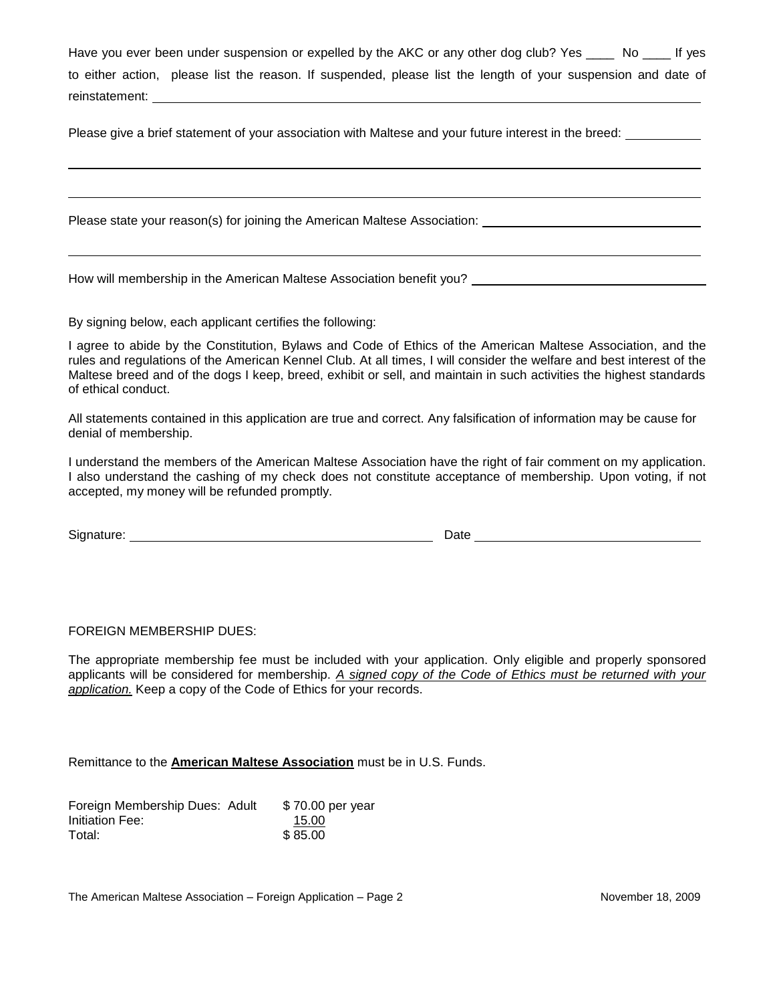Have you ever been under suspension or expelled by the AKC or any other dog club? Yes No H yes to either action, please list the reason. If suspended, please list the length of your suspension and date of reinstatement:

Please give a brief statement of your association with Maltese and your future interest in the breed:

Please state your reason(s) for joining the American Maltese Association:

How will membership in the American Maltese Association benefit you? Lettuck and the Maltese Association benefit you?

By signing below, each applicant certifies the following:

I agree to abide by the Constitution, Bylaws and Code of Ethics of the American Maltese Association, and the rules and regulations of the American Kennel Club. At all times, I will consider the welfare and best interest of the Maltese breed and of the dogs I keep, breed, exhibit or sell, and maintain in such activities the highest standards of ethical conduct.

All statements contained in this application are true and correct. Any falsification of information may be cause for denial of membership.

I understand the members of the American Maltese Association have the right of fair comment on my application. I also understand the cashing of my check does not constitute acceptance of membership. Upon voting, if not accepted, my money will be refunded promptly.

| Signature: | Date |
|------------|------|
|            |      |

### FOREIGN MEMBERSHIP DUES:

The appropriate membership fee must be included with your application. Only eligible and properly sponsored applicants will be considered for membership. *A signed copy of the Code of Ethics must be returned with your application.* Keep a copy of the Code of Ethics for your records.

Remittance to the **American Maltese Association** must be in U.S. Funds.

| Foreign Membership Dues: Adult | \$70.00 per year |
|--------------------------------|------------------|
| Initiation Fee:                | 15.00            |
| Total:                         | \$85.00          |

The American Maltese Association – Foreign Application – Page 2 November 18, 2009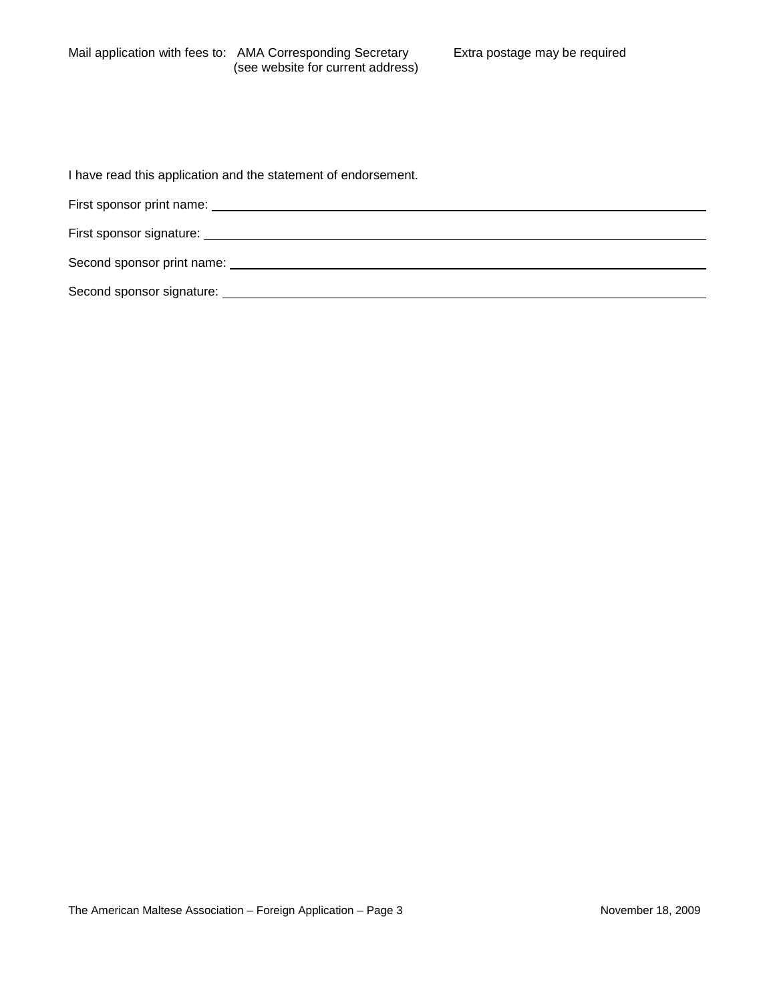I have read this application and the statement of endorsement.

| First sponsor print name:                                                                                                                                                                                                      |  |
|--------------------------------------------------------------------------------------------------------------------------------------------------------------------------------------------------------------------------------|--|
| First sponsor signature: The contract of the contract of the contract of the contract of the contract of the contract of the contract of the contract of the contract of the contract of the contract of the contract of the c |  |
| Second sponsor print name: Second sponsor print name:                                                                                                                                                                          |  |
| Second sponsor signature:                                                                                                                                                                                                      |  |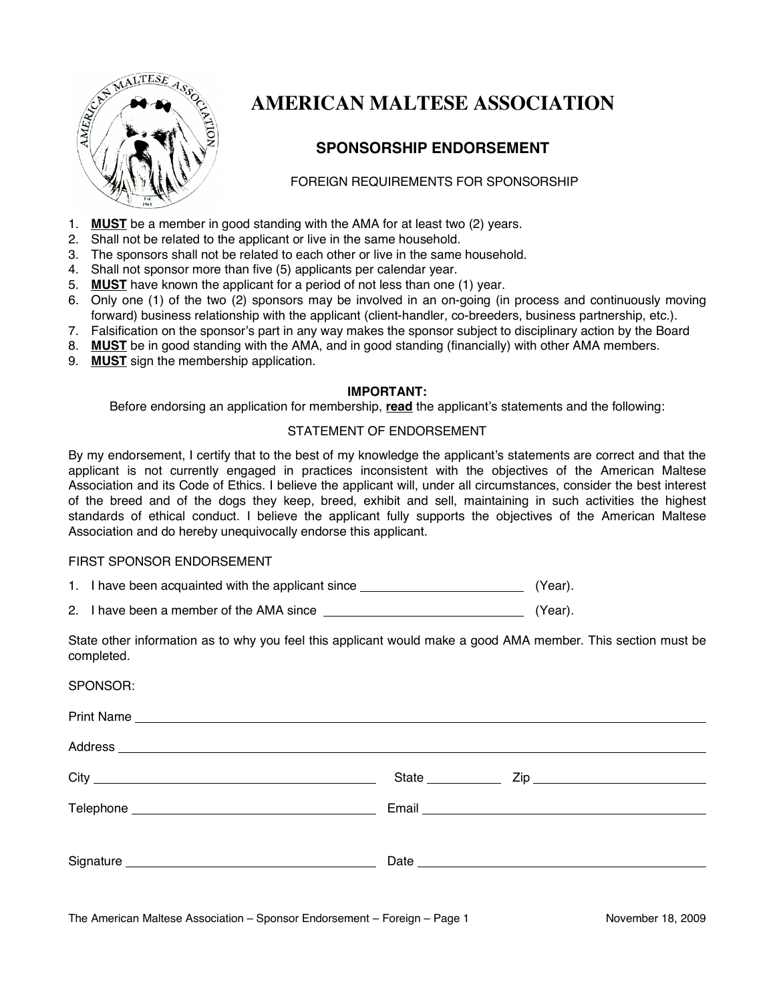

# **AMERICAN MALTESE ASSOCIATION**

## **SPONSORSHIP ENDORSEMENT**

## FOREIGN REQUIREMENTS FOR SPONSORSHIP

- 1. **MUST** be a member in good standing with the AMA for at least two (2) years.
- 2. Shall not be related to the applicant or live in the same household.
- 3. The sponsors shall not be related to each other or live in the same household.
- 4. Shall not sponsor more than five (5) applicants per calendar year.
- 5. **MUST** have known the applicant for a period of not less than one (1) year.
- 6. Only one (1) of the two (2) sponsors may be involved in an on-going (in process and continuously moving forward) business relationship with the applicant (client-handler, co-breeders, business partnership, etc.).
- 7. Falsification on the sponsor's part in any way makes the sponsor subject to disciplinary action by the Board
- 8. **MUST** be in good standing with the AMA, and in good standing (financially) with other AMA members.
- 9. **MUST** sign the membership application.

## **IMPORTANT:**

Before endorsing an application for membership, **read** the applicant's statements and the following:

## STATEMENT OF ENDORSEMENT

By my endorsement, I certify that to the best of my knowledge the applicant's statements are correct and that the applicant is not currently engaged in practices inconsistent with the objectives of the American Maltese Association and its Code of Ethics. I believe the applicant will, under all circumstances, consider the best interest of the breed and of the dogs they keep, breed, exhibit and sell, maintaining in such activities the highest standards of ethical conduct. I believe the applicant fully supports the objectives of the American Maltese Association and do hereby unequivocally endorse this applicant.

## FIRST SPONSOR ENDORSEMENT

1. I have been acquainted with the applicant since **Example 20** (Year).

2. I have been a member of the AMA since  $(Year)$ .

State other information as to why you feel this applicant would make a good AMA member. This section must be completed.

| SPONSOR: |                   |  |
|----------|-------------------|--|
|          |                   |  |
|          |                   |  |
|          | State ___________ |  |
|          |                   |  |
|          |                   |  |
|          |                   |  |